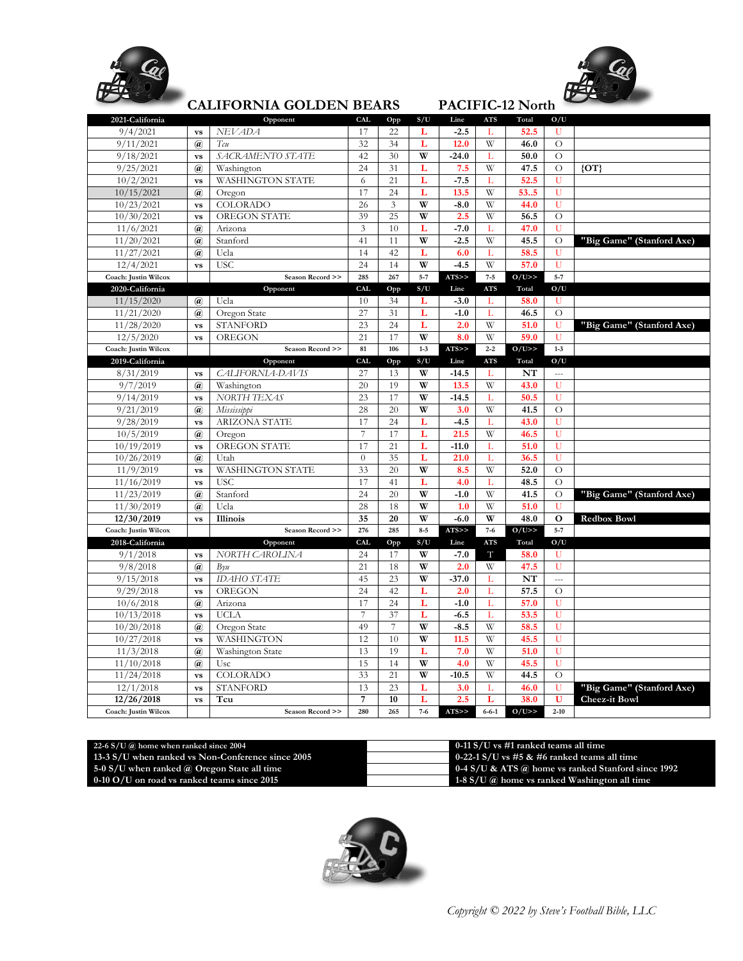



## **CALIFORNIA GOLDEN BEARS PACIFIC-12 North**

|                      |                                         | ondh oili uu ooddel i ddhiil |                |                |         |         |             | 11101110 121 101011 |                          |                           |
|----------------------|-----------------------------------------|------------------------------|----------------|----------------|---------|---------|-------------|---------------------|--------------------------|---------------------------|
| 2021-California      |                                         | Opponent                     | <b>CAL</b>     | Opp            | S/U     | Line    | <b>ATS</b>  | Total               | O/U                      |                           |
| 9/4/2021             | <b>VS</b>                               | <b>NEVADA</b>                | 17             | 22             | L       | $-2.5$  | L           | 52.5                |                          |                           |
| 9/11/2021            | $\omega$                                | Tcu                          | 32             | 34             | L       | 12.0    | W           | 46.0                | $\circ$                  |                           |
| 9/18/2021            | <b>VS</b>                               | SACRAMENTO STATE             | 42             | 30             | W       | $-24.0$ | L           | 50.0                | $\overline{O}$           |                           |
| 9/25/2021            | $\mathbf{a}$                            | Washington                   | 24             | 31             | L       | 7.5     | W           | 47.5                | $\circ$                  | ${O}T$                    |
| 10/2/2021            | <b>VS</b>                               | WASHINGTON STATE             | 6              | 21             | L       | $-7.5$  | L           | 52.5                | U                        |                           |
| 10/15/2021           | $\omega$                                | Oregon                       | 17             | 24             | L       | 13.5    | W           | 535                 | U                        |                           |
| 10/23/2021           | <b>VS</b>                               | <b>COLORADO</b>              | 26             | $\overline{3}$ | W       | $-8.0$  | W           | 44.0                | U                        |                           |
| 10/30/2021           | <b>VS</b>                               | OREGON STATE                 | 39             | 25             | W       | 2.5     | W           | 56.5                | $\circ$                  |                           |
| 11/6/2021            | $\mathbf{a}$                            | Arizona                      | $\overline{3}$ | 10             | L       | $-7.0$  | L           | 47.0                | U                        |                           |
| 11/20/2021           | $\mathbf{a}$                            | Stanford                     | 41             | 11             | W       | $-2.5$  | W           | 45.5                | $\circ$                  | "Big Game" (Stanford Axe) |
| 11/27/2021           | $\mathbf{a}$                            | Ucla                         | 14             | 42             | L       | 6.0     | L           | 58.5                | U                        |                           |
| 12/4/2021            | <b>VS</b>                               | <b>USC</b>                   | 24             | 14             | W       | $-4.5$  | W           | 57.0                | U                        |                           |
| Coach: Justin Wilcox |                                         | Season Record >>             | 285            | 267            | $5 - 7$ | ATS     | $7 - 5$     | $O/U$ >>            | $5 - 7$                  |                           |
| 2020-California      |                                         | Opponent                     | <b>CAL</b>     | Opp            | S/U     | Line    | <b>ATS</b>  | Total               | O/U                      |                           |
| 11/15/2020           | $\mathbf{a}$                            | Ucla                         | 10             | 34             | L       | $-3.0$  | L           | 58.0                | U                        |                           |
| 11/21/2020           | $\mathbf{a}$                            | Oregon State                 | 27             | 31             | L       | $-1.0$  | L           | 46.5                | $\circ$                  |                           |
| 11/28/2020           | <b>VS</b>                               | <b>STANFORD</b>              | 23             | 24             | L       | 2.0     | W           | 51.0                | U                        | "Big Game" (Stanford Axe) |
| 12/5/2020            | <b>VS</b>                               | OREGON                       | 21             | 17             | W       | 8.0     | W           | 59.0                | U                        |                           |
| Coach: Justin Wilcox |                                         | Season Record >>             | 81             | 106            | $1 - 3$ | ATS>>   | $2 - 2$     | O/U>>               | $1 - 3$                  |                           |
| 2019-California      |                                         | Opponent                     | <b>CAL</b>     | Opp            | S/U     | Line    | <b>ATS</b>  | Total               | O/U                      |                           |
| 8/31/2019            | <b>VS</b>                               | CALIFORNIA-DAVIS             | 27             | 13             | W       | $-14.5$ | L           | NT                  | $\overline{a}$           |                           |
| 9/7/2019             | $\mathbf{a}$                            | Washington                   | 20             | 19             | W       | 13.5    | W           | 43.0                | U                        |                           |
| 9/14/2019            | <b>VS</b>                               | NORTH TEXAS                  | 23             | 17             | W       | $-14.5$ | L           | 50.5                | Ū                        |                           |
| 9/21/2019            | $\omega$                                | Mississippi                  | 28             | 20             | W       | 3.0     | W           | 41.5                | $\circ$                  |                           |
| 9/28/2019            | <b>VS</b>                               | <b>ARIZONA STATE</b>         | 17             | 24             | L       | $-4.5$  | L           | 43.0                | U                        |                           |
| 10/5/2019            | $\omega$                                | Oregon                       | $\overline{7}$ | 17             | L       | 21.5    | W           | 46.5                | U                        |                           |
| 10/19/2019           | <b>VS</b>                               | OREGON STATE                 | 17             | 21             | L       | $-11.0$ | L           | 51.0                | Ū                        |                           |
| 10/26/2019           | $\mathbf{a}$                            | Utah                         | $\theta$       | 35             | L       | 21.0    | L           | 36.5                | U                        |                           |
| 11/9/2019            | <b>VS</b>                               | <b>WASHINGTON STATE</b>      | 33             | 20             | W       | 8.5     | W           | 52.0                | $\circ$                  |                           |
| 11/16/2019           | <b>VS</b>                               | <b>USC</b>                   | 17             | 41             | L       | 4.0     | L           | 48.5                | $\overline{O}$           |                           |
| 11/23/2019           | $\mathbf{a}$                            | Stanford                     | 24             | 20             | W       | $-1.0$  | W           | 41.5                | $\circ$                  | "Big Game" (Stanford Axe) |
| 11/30/2019           | $\omega$                                | Ucla                         | 28             | 18             | W       | 1.0     | W           | 51.0                | U                        |                           |
| 12/30/2019           | <b>vs</b>                               | Illinois                     | 35             | 20             | W       | $-6.0$  | W           | 48.0                | $\mathbf{o}$             | <b>Redbox Bowl</b>        |
| Coach: Justin Wilcox |                                         | Season Record >>             | 276            | 285            | $8 - 5$ | ATS>>   | $7 - 6$     | O/U>>               | $5 - 7$                  |                           |
| 2018-California      |                                         | Opponent                     | <b>CAL</b>     | Opp            | S/U     | Line    | <b>ATS</b>  | Total               | O/U                      |                           |
| 9/1/2018             | <b>VS</b>                               | NORTH CAROLINA               | 24             | 17             | W       | $-7.0$  | Т           | 58.0                | U                        |                           |
| 9/8/2018             | $\left(\widehat{\boldsymbol{a}}\right)$ | $B\gamma u$                  | 21             | 18             | W       | 2.0     | W           | 47.5                | U                        |                           |
| 9/15/2018            | $\mathbf{v}\mathbf{s}$                  | <b>IDAHO STATE</b>           | 45             | 23             | W       | $-37.0$ | L           | NT                  | $\overline{\phantom{a}}$ |                           |
| 9/29/2018            | <b>VS</b>                               | OREGON                       | 24             | 42             | L       | 2.0     | L           | 57.5                | $\circ$                  |                           |
| 10/6/2018            | $\omega$                                | Arizona                      | 17             | 24             | L       | $-1.0$  | L           | 57.0                | U                        |                           |
| 10/13/2018           | <b>VS</b>                               | <b>UCLA</b>                  | $\overline{7}$ | 37             | L       | $-6.5$  | L           | 53.5                | U                        |                           |
| 10/20/2018           | $\mathbf{a}$                            | Oregon State                 | 49             | 7              | W       | $-8.5$  | W           | 58.5                | Ū                        |                           |
| 10/27/2018           | <b>VS</b>                               | WASHINGTON                   | 12             | 10             | W       | 11.5    | W           | 45.5                | Ū                        |                           |
| 11/3/2018            | $\mathbf{a}$                            | Washington State             | 13             | 19             | L       | 7.0     | W           | 51.0                | U                        |                           |
| 11/10/2018           | $\mathbf{a}$                            | Usc                          | 15             | 14             | W       | 4.0     | W           | 45.5                | Ū                        |                           |
| 11/24/2018           | <b>VS</b>                               | <b>COLORADO</b>              | 33             | 21             | W       | $-10.5$ | W           | 44.5                | $\circ$                  |                           |
| 12/1/2018            | <b>VS</b>                               | <b>STANFORD</b>              | 13             | 23             | L       | 3.0     | L           | 46.0                | Ū                        | "Big Game" (Stanford Axe) |
| 12/26/2018           | <b>VS</b>                               | Tcu                          | $\overline{7}$ | 10             | L       | 2.5     | L           | 38.0                | U                        | <b>Cheez-it Bowl</b>      |
| Coach: Justin Wilcox |                                         | Season Record >>             | 280            | 265            | $7 - 6$ | ATS>>   | $6 - 6 - 1$ | O/U>>               | $2 - 10$                 |                           |

| 22-6 S/U $\omega$ home when ranked since 2004      | 0-11 S/U vs $\#1$ ranked teams all time                   |
|----------------------------------------------------|-----------------------------------------------------------|
| 13-3 S/U when ranked vs Non-Conference since 2005  | 0-22-1 S/U vs #5 $\&$ #6 ranked teams all time            |
| 5-0 S/U when ranked $\omega$ Oregon State all time | 0-4 S/U & ATS $\omega$ home vs ranked Stanford since 1992 |
| $0-10$ O/U on road vs ranked teams since 2015      | 1-8 S/U $\omega$ home vs ranked Washington all time       |